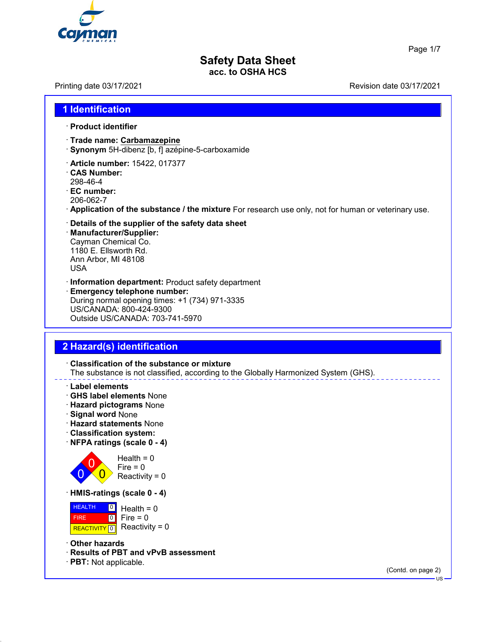

Page 1/7

# **Safety Data Sheet acc. to OSHA HCS**

Printing date 03/17/2021 Revision date 03/17/2021

## **1 Identification**

### · **Product identifier**

- · **Trade name: Carbamazepine**
- · **Synonym** 5H-dibenz [b, f] azépine-5-carboxamide
- · **Article number:** 15422, 017377
- · **CAS Number:** 298-46-4
- · **EC number:** 206-062-7
- 
- · **Application of the substance / the mixture** For research use only, not for human or veterinary use.
- · **Details of the supplier of the safety data sheet**
- · **Manufacturer/Supplier:** Cayman Chemical Co. 1180 E. Ellsworth Rd. Ann Arbor, MI 48108 USA
- · **Information department:** Product safety department
- · **Emergency telephone number:** During normal opening times: +1 (734) 971-3335 US/CANADA: 800-424-9300 Outside US/CANADA: 703-741-5970

## **2 Hazard(s) identification**

· **Classification of the substance or mixture** The substance is not classified, according to the Globally Harmonized System (GHS).

- · **Label elements**
- · **GHS label elements** None
- · **Hazard pictograms** None
- · **Signal word** None
- · **Hazard statements** None
- · **Classification system:**
- · **NFPA ratings (scale 0 4)**



 $Health = 0$  $Fire = 0$ Reactivity =  $0$ 

· **HMIS-ratings (scale 0 - 4)**

**HEALTH**  FIRE REACTIVITY  $\boxed{0}$  Reactivity = 0  $\boxed{0}$  $\boxed{0}$ Health  $= 0$ Fire  $= 0$ 

· **Other hazards**

- · **Results of PBT and vPvB assessment**
- · **PBT:** Not applicable.

(Contd. on page 2)

US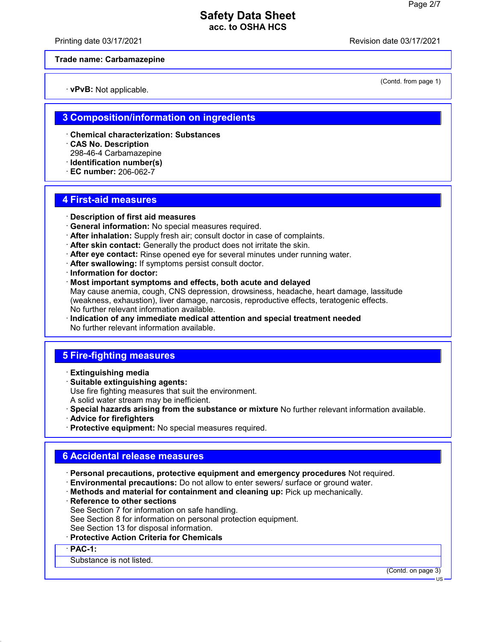Printing date 03/17/2021 Revision date 03/17/2021

### **Trade name: Carbamazepine**

· **vPvB:** Not applicable.

(Contd. from page 1)

## **3 Composition/information on ingredients**

- · **Chemical characterization: Substances**
- · **CAS No. Description**
- 298-46-4 Carbamazepine
- · **Identification number(s)**
- · **EC number:** 206-062-7

### **4 First-aid measures**

- · **Description of first aid measures**
- · **General information:** No special measures required.
- · **After inhalation:** Supply fresh air; consult doctor in case of complaints.
- · **After skin contact:** Generally the product does not irritate the skin.
- · **After eye contact:** Rinse opened eye for several minutes under running water.
- · **After swallowing:** If symptoms persist consult doctor.
- · **Information for doctor:**
- · **Most important symptoms and effects, both acute and delayed** May cause anemia, cough, CNS depression, drowsiness, headache, heart damage, lassitude (weakness, exhaustion), liver damage, narcosis, reproductive effects, teratogenic effects. No further relevant information available.
- · **Indication of any immediate medical attention and special treatment needed** No further relevant information available.

## **5 Fire-fighting measures**

- · **Extinguishing media**
- · **Suitable extinguishing agents:**

Use fire fighting measures that suit the environment.

- A solid water stream may be inefficient.
- · **Special hazards arising from the substance or mixture** No further relevant information available.
- · **Advice for firefighters**
- · **Protective equipment:** No special measures required.

## **6 Accidental release measures**

- · **Personal precautions, protective equipment and emergency procedures** Not required.
- · **Environmental precautions:** Do not allow to enter sewers/ surface or ground water.
- · **Methods and material for containment and cleaning up:** Pick up mechanically.
- · **Reference to other sections**
- See Section 7 for information on safe handling.
- See Section 8 for information on personal protection equipment.
- See Section 13 for disposal information.
- · **Protective Action Criteria for Chemicals**

· **PAC-1:**

Substance is not listed.

(Contd. on page 3)

US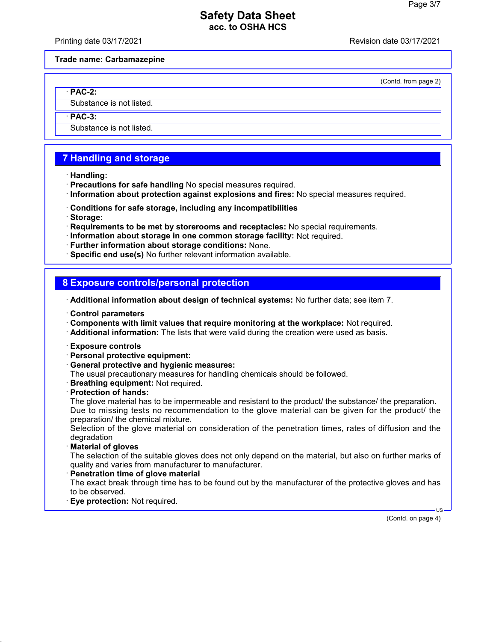Printing date 03/17/2021 Revision date 03/17/2021

### **Trade name: Carbamazepine**

(Contd. from page 2)

· **PAC-2:**

Substance is not listed.

· **PAC-3:**

Substance is not listed.

# **7 Handling and storage**

- · **Handling:**
- · **Precautions for safe handling** No special measures required.
- · **Information about protection against explosions and fires:** No special measures required.
- · **Conditions for safe storage, including any incompatibilities**
- · **Storage:**
- · **Requirements to be met by storerooms and receptacles:** No special requirements.
- · **Information about storage in one common storage facility:** Not required.
- · **Further information about storage conditions:** None.
- · **Specific end use(s)** No further relevant information available.

## **8 Exposure controls/personal protection**

- · **Additional information about design of technical systems:** No further data; see item 7.
- · **Control parameters**
- · **Components with limit values that require monitoring at the workplace:** Not required.
- · **Additional information:** The lists that were valid during the creation were used as basis.
- · **Exposure controls**
- · **Personal protective equipment:**
- · **General protective and hygienic measures:**
- The usual precautionary measures for handling chemicals should be followed.
- · **Breathing equipment:** Not required.
- · **Protection of hands:**

The glove material has to be impermeable and resistant to the product/ the substance/ the preparation. Due to missing tests no recommendation to the glove material can be given for the product/ the preparation/ the chemical mixture.

Selection of the glove material on consideration of the penetration times, rates of diffusion and the degradation

· **Material of gloves**

The selection of the suitable gloves does not only depend on the material, but also on further marks of quality and varies from manufacturer to manufacturer.

· **Penetration time of glove material**

The exact break through time has to be found out by the manufacturer of the protective gloves and has to be observed.

· **Eye protection:** Not required.

(Contd. on page 4)

US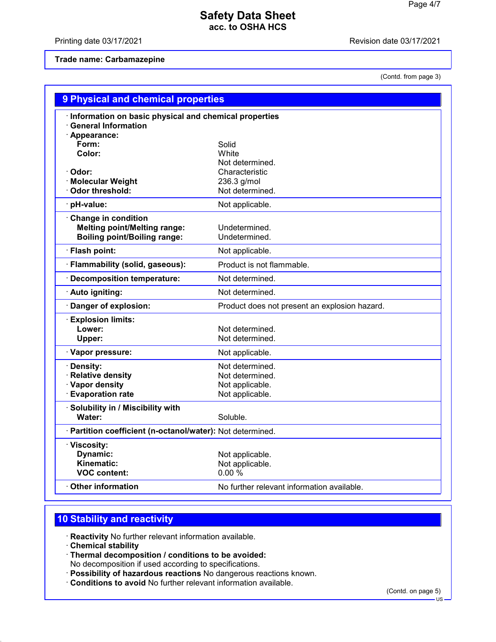Printing date 03/17/2021 **Printing date 03/17/2021** 

### **Trade name: Carbamazepine**

(Contd. from page 3)

| 9 Physical and chemical properties                         |                                               |
|------------------------------------------------------------|-----------------------------------------------|
| · Information on basic physical and chemical properties    |                                               |
| <b>General Information</b>                                 |                                               |
| · Appearance:                                              |                                               |
| Form:                                                      | Solid                                         |
| Color:                                                     | White                                         |
|                                                            | Not determined.                               |
| Odor:                                                      | Characteristic                                |
| <b>Molecular Weight</b><br><b>Odor threshold:</b>          | 236.3 g/mol<br>Not determined.                |
|                                                            |                                               |
| pH-value:                                                  | Not applicable.                               |
| <b>Change in condition</b>                                 |                                               |
| <b>Melting point/Melting range:</b>                        | Undetermined.                                 |
| <b>Boiling point/Boiling range:</b>                        | Undetermined.                                 |
| · Flash point:                                             | Not applicable.                               |
| · Flammability (solid, gaseous):                           | Product is not flammable.                     |
| · Decomposition temperature:                               | Not determined.                               |
| · Auto igniting:                                           | Not determined.                               |
| Danger of explosion:                                       | Product does not present an explosion hazard. |
| <b>Explosion limits:</b>                                   |                                               |
| Lower:                                                     | Not determined.                               |
| Upper:                                                     | Not determined.                               |
| · Vapor pressure:                                          | Not applicable.                               |
| Density:                                                   | Not determined.                               |
| <b>Relative density</b>                                    | Not determined.                               |
| · Vapor density                                            | Not applicable.                               |
| <b>Evaporation rate</b>                                    | Not applicable.                               |
| Solubility in / Miscibility with                           |                                               |
| Water:                                                     | Soluble.                                      |
| · Partition coefficient (n-octanol/water): Not determined. |                                               |
| · Viscosity:                                               |                                               |
| Dynamic:                                                   | Not applicable.                               |
| Kinematic:                                                 | Not applicable.                               |
| <b>VOC content:</b>                                        | 0.00%                                         |
| <b>Other information</b>                                   | No further relevant information available.    |

# **10 Stability and reactivity**

· **Reactivity** No further relevant information available.

· **Chemical stability**

· **Thermal decomposition / conditions to be avoided:**

No decomposition if used according to specifications.

- · **Possibility of hazardous reactions** No dangerous reactions known.
- · **Conditions to avoid** No further relevant information available.

(Contd. on page 5)

<sup>·</sup>US·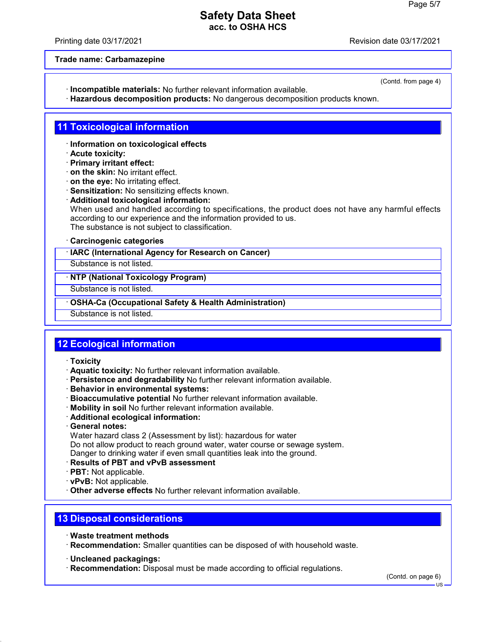Printing date 03/17/2021 Revision date 03/17/2021

**Trade name: Carbamazepine**

- · **Incompatible materials:** No further relevant information available.
- · **Hazardous decomposition products:** No dangerous decomposition products known.

# **11 Toxicological information**

- · **Information on toxicological effects**
- · **Acute toxicity:**
- · **Primary irritant effect:**
- · **on the skin:** No irritant effect.
- · **on the eye:** No irritating effect.
- · **Sensitization:** No sensitizing effects known.
- · **Additional toxicological information:** When used and handled according to specifications, the product does not have any harmful effects according to our experience and the information provided to us. The substance is not subject to classification.

### · **Carcinogenic categories**

### · **IARC (International Agency for Research on Cancer)**

Substance is not listed.

### · **NTP (National Toxicology Program)**

Substance is not listed.

### · **OSHA-Ca (Occupational Safety & Health Administration)**

Substance is not listed.

# **12 Ecological information**

- · **Toxicity**
- · **Aquatic toxicity:** No further relevant information available.
- · **Persistence and degradability** No further relevant information available.
- · **Behavior in environmental systems:**
- · **Bioaccumulative potential** No further relevant information available.
- · **Mobility in soil** No further relevant information available.
- · **Additional ecological information:**
- · **General notes:**

Water hazard class 2 (Assessment by list): hazardous for water Do not allow product to reach ground water, water course or sewage system. Danger to drinking water if even small quantities leak into the ground.

- · **Results of PBT and vPvB assessment**
- · **PBT:** Not applicable.
- · **vPvB:** Not applicable.
- · **Other adverse effects** No further relevant information available.

# **13 Disposal considerations**

- · **Waste treatment methods**
- · **Recommendation:** Smaller quantities can be disposed of with household waste.
- · **Uncleaned packagings:**
- · **Recommendation:** Disposal must be made according to official regulations.

(Contd. on page 6)

US

(Contd. from page 4)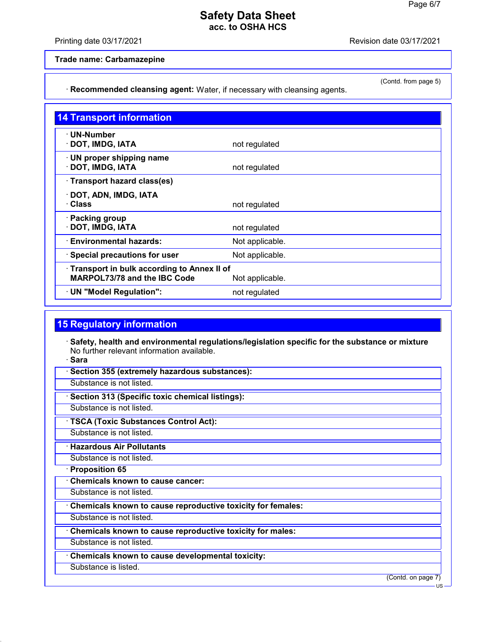### Printing date 03/17/2021 Revision date 03/17/2021

(Contd. from page 5)

**Trade name: Carbamazepine**

· **Recommended cleansing agent:** Water, if necessary with cleansing agents.

| <b>14 Transport information</b>                                                               |                 |
|-----------------------------------------------------------------------------------------------|-----------------|
| $\cdot$ UN-Number<br>· DOT, IMDG, IATA                                                        | not regulated   |
| $\cdot$ UN proper shipping name<br>· DOT, IMDG, IATA                                          | not regulated   |
| · Transport hazard class(es)                                                                  |                 |
| · DOT, ADN, IMDG, IATA<br>· Class                                                             | not regulated   |
| · Packing group<br>· DOT, IMDG, IATA                                                          | not regulated   |
| · Environmental hazards:                                                                      | Not applicable. |
| · Special precautions for user                                                                | Not applicable. |
| Transport in bulk according to Annex II of<br>MARPOL73/78 and the IBC Code<br>Not applicable. |                 |
| · UN "Model Regulation":                                                                      | not regulated   |

## **15 Regulatory information**

- · **Safety, health and environmental regulations/legislation specific for the substance or mixture** No further relevant information available.
- · **Sara**
- · **Section 355 (extremely hazardous substances):**
- Substance is not listed.
- · **Section 313 (Specific toxic chemical listings):**
- Substance is not listed.
- · **TSCA (Toxic Substances Control Act):**
- Substance is not listed.
- · **Hazardous Air Pollutants**
- Substance is not listed.
- · **Proposition 65**
- · **Chemicals known to cause cancer:**
- Substance is not listed.
- · **Chemicals known to cause reproductive toxicity for females:**
- Substance is not listed.
- · **Chemicals known to cause reproductive toxicity for males:**
- Substance is not listed.
- · **Chemicals known to cause developmental toxicity:**
- Substance is listed.

(Contd. on page 7)

US